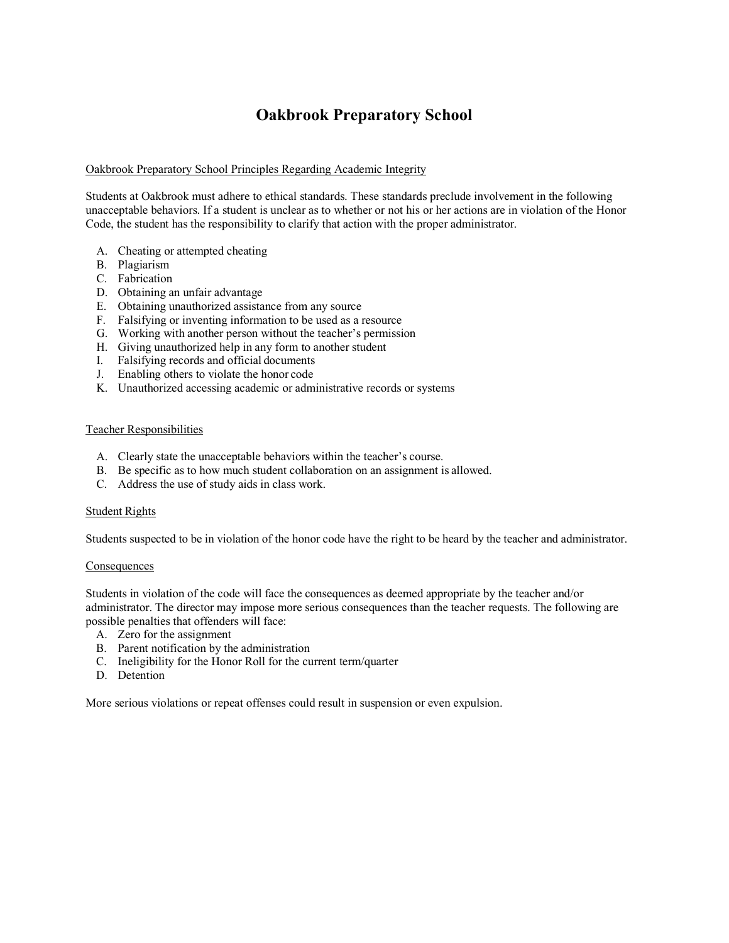## **Oakbrook Preparatory School**

#### Oakbrook Preparatory School Principles Regarding Academic Integrity

Students at Oakbrook must adhere to ethical standards. These standards preclude involvement in the following unacceptable behaviors. If a student is unclear as to whether or not his or her actions are in violation of the Honor Code, the student has the responsibility to clarify that action with the proper administrator.

- A. Cheating or attempted cheating
- B. Plagiarism
- C. Fabrication
- D. Obtaining an unfair advantage
- E. Obtaining unauthorized assistance from any source
- F. Falsifying or inventing information to be used as a resource
- G. Working with another person without the teacher's permission
- H. Giving unauthorized help in any form to another student
- I. Falsifying records and official documents
- J. Enabling others to violate the honor code
- K. Unauthorized accessing academic or administrative records or systems

#### Teacher Responsibilities

- A. Clearly state the unacceptable behaviors within the teacher's course.
- B. Be specific as to how much student collaboration on an assignment is allowed.
- C. Address the use of study aids in class work.

#### Student Rights

Students suspected to be in violation of the honor code have the right to be heard by the teacher and administrator.

#### **Consequences**

Students in violation of the code will face the consequences as deemed appropriate by the teacher and/or administrator. The director may impose more serious consequences than the teacher requests. The following are possible penalties that offenders will face:

- A. Zero for the assignment
- B. Parent notification by the administration
- C. Ineligibility for the Honor Roll for the current term/quarter
- D. Detention

More serious violations or repeat offenses could result in suspension or even expulsion.